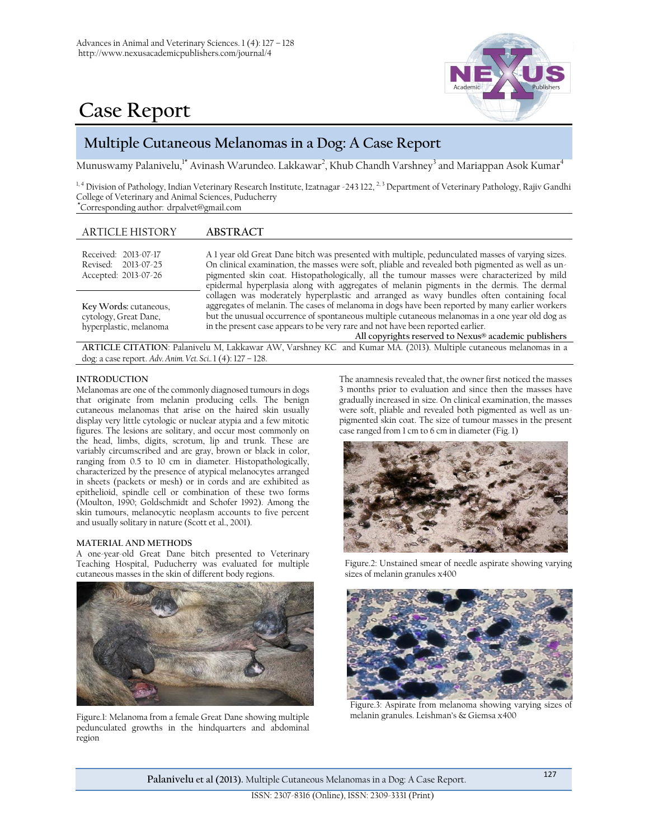



# **Multiple Cutaneous Melanomas in a Dog: A Case Report**

Munuswamy Palanivelu,<sup>1\*</sup> Avinash Warundeo. Lakkawar<sup>2</sup>, Khub Chandh Varshney<sup>3</sup> and Mariappan Asok Kumar<sup>4</sup>

<sup>1, 4</sup> Division of Pathology, Indian Veterinary Research Institute, Izatnagar -243 122, <sup>2, 3</sup> Department of Veterinary Pathology, Rajiv Gandhi College of Veterinary and Animal Sciences, Puducherry **\***Corresponding author: [drpalvet@gmail.com](mailto:drpalvet@gmail.com)

## ARTICLE HISTORY **ABSTRACT**

dog: a case report. *Adv. Anim. Vet. Sci..* 1 (4): 127 – 128.

| Received: 2013-07-17<br>Revised: 2013-07-25<br>Accepted: 2013-07-26                                              | A 1 year old Great Dane bitch was presented with multiple, pedunculated masses of varying sizes.<br>On clinical examination, the masses were soft, pliable and revealed both pigmented as well as un-<br>pigmented skin coat. Histopathologically, all the tumour masses were characterized by mild<br>epidermal hyperplasia along with aggregates of melanin pigments in the dermis. The dermal                                           |
|------------------------------------------------------------------------------------------------------------------|--------------------------------------------------------------------------------------------------------------------------------------------------------------------------------------------------------------------------------------------------------------------------------------------------------------------------------------------------------------------------------------------------------------------------------------------|
| Key Words: cutaneous,<br>cytology, Great Dane,<br>hyperplastic, melanoma                                         | collagen was moderately hyperplastic and arranged as wavy bundles often containing focal<br>aggregates of melanin. The cases of melanoma in dogs have been reported by many earlier workers<br>but the unusual occurrence of spontaneous multiple cutaneous melanomas in a one year old dog as<br>in the present case appears to be very rare and not have been reported earlier.<br>All copyrights reserved to Nexus® academic publishers |
| ARTICLE CITATION: Palanivelu M, Lakkawar AW, Varshney KC and Kumar MA. (2013). Multiple cutaneous melanomas in a |                                                                                                                                                                                                                                                                                                                                                                                                                                            |

#### **INTRODUCTION**

Melanomas are one of the commonly diagnosed tumours in dogs that originate from melanin producing cells. The benign cutaneous melanomas that arise on the haired skin usually display very little cytologic or nuclear atypia and a few mitotic figures. The lesions are solitary, and occur most commonly on the head, limbs, digits, scrotum, lip and trunk. These are variably circumscribed and are gray, brown or black in color, ranging from 0.5 to 10 cm in diameter. Histopathologically, characterized by the presence of atypical melanocytes arranged in sheets (packets or mesh) or in cords and are exhibited as epithelioid, spindle cell or combination of these two forms (Moulton, 1990; Goldschmidt and Schofer 1992). Among the skin tumours, melanocytic neoplasm accounts to five percent and usually solitary in nature (Scott et al., 2001).

#### **MATERIAL AND METHODS**

A one-year-old Great Dane bitch presented to Veterinary Teaching Hospital, Puducherry was evaluated for multiple cutaneous masses in the skin of different body regions.



Figure.1: Melanoma from a female Great Dane showing multiple pedunculated growths in the hindquarters and abdominal region

The anamnesis revealed that, the owner first noticed the masses 3 months prior to evaluation and since then the masses have gradually increased in size. On clinical examination, the masses were soft, pliable and revealed both pigmented as well as unpigmented skin coat. The size of tumour masses in the present case ranged from 1 cm to 6 cm in diameter (Fig. 1)



Figure.2: Unstained smear of needle aspirate showing varying sizes of melanin granules x400



Figure.3: Aspirate from melanoma showing varying sizes of melanin granules. Leishman's & Giemsa x400

**Palanivelu et al (2013).** Multiple Cutaneous Melanomas in a Dog: A Case Report. <sup>127</sup>